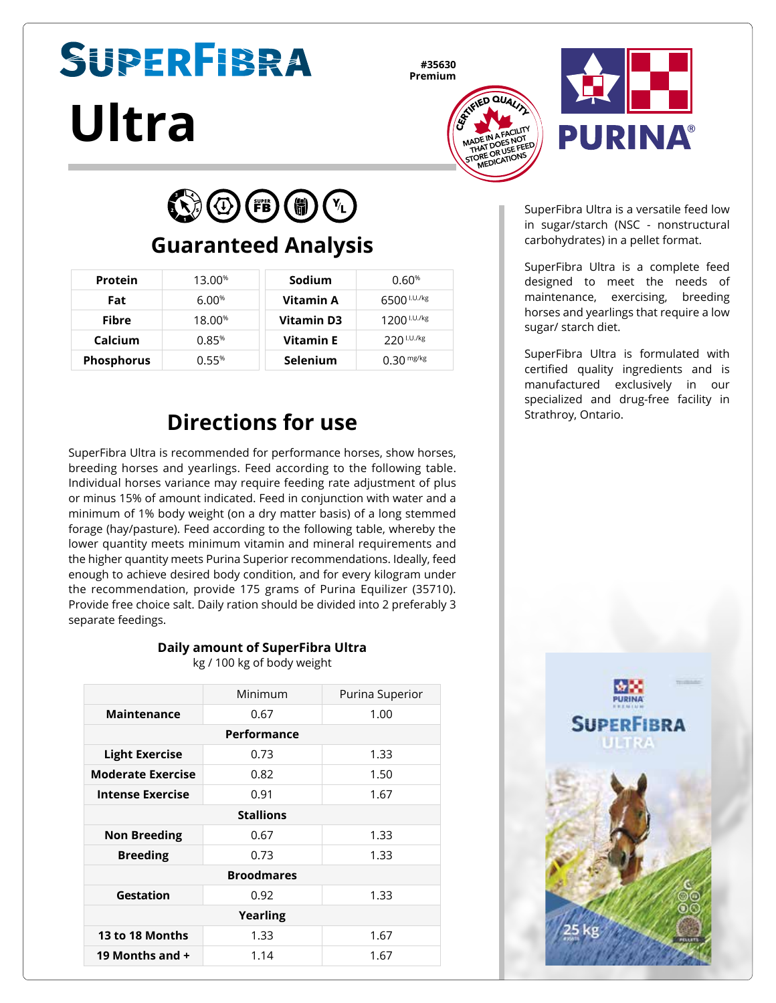# **SUPERFIBRA Ultra**

**#35630**





 $\bigodot$   $\bigodot$  (FB)  $\bigcirc$   $\bigcirc$ 

#### **Guaranteed Analysis**

| Protein           | 13.00 <sup>%</sup> | Sodium           | 0.60%                   |
|-------------------|--------------------|------------------|-------------------------|
| Fat               | 6.00%              | Vitamin A        | 6500 <sup>I.U./kg</sup> |
| <b>Fibre</b>      | 18.00 <sup>%</sup> | Vitamin D3       | $1200$ $1.07$ / $kg$    |
| Calcium           | 0.85%              | <b>Vitamin E</b> | $220$ I.U./kg           |
| <b>Phosphorus</b> | 0.55%              | <b>Selenium</b>  | $0.30$ mg/kg            |

## **Directions for use**

SuperFibra Ultra is recommended for performance horses, show horses, breeding horses and yearlings. Feed according to the following table. Individual horses variance may require feeding rate adjustment of plus or minus 15% of amount indicated. Feed in conjunction with water and a minimum of 1% body weight (on a dry matter basis) of a long stemmed forage (hay/pasture). Feed according to the following table, whereby the lower quantity meets minimum vitamin and mineral requirements and the higher quantity meets Purina Superior recommendations. Ideally, feed enough to achieve desired body condition, and for every kilogram under the recommendation, provide 175 grams of Purina Equilizer (35710). Provide free choice salt. Daily ration should be divided into 2 preferably 3 separate feedings.

#### **Daily amount of SuperFibra Ultra** kg / 100 kg of body weight

|                          | Minimum | Purina Superior |  |  |  |
|--------------------------|---------|-----------------|--|--|--|
| <b>Maintenance</b>       | 0.67    | 1.00            |  |  |  |
| Performance              |         |                 |  |  |  |
| <b>Light Exercise</b>    | 0.73    | 1.33            |  |  |  |
| <b>Moderate Exercise</b> | 0.82    | 1.50            |  |  |  |
| <b>Intense Exercise</b>  | 0.91    | 1.67            |  |  |  |
| <b>Stallions</b>         |         |                 |  |  |  |
| <b>Non Breeding</b>      | 0.67    | 1.33            |  |  |  |
| <b>Breeding</b>          | 0.73    | 1.33            |  |  |  |
| <b>Broodmares</b>        |         |                 |  |  |  |
| Gestation                | 0.92    | 1.33            |  |  |  |
| <b>Yearling</b>          |         |                 |  |  |  |
| 13 to 18 Months          | 1.33    | 1.67            |  |  |  |
| 19 Months and +          | 1.14    | 1.67            |  |  |  |
|                          |         |                 |  |  |  |

SuperFibra Ultra is a versatile feed low in sugar/starch (NSC - nonstructural carbohydrates) in a pellet format.

SuperFibra Ultra is a complete feed designed to meet the needs of maintenance, exercising, breeding horses and yearlings that require a low sugar/ starch diet.

SuperFibra Ultra is formulated with certified quality ingredients and is manufactured exclusively in our specialized and drug-free facility in Strathroy, Ontario.